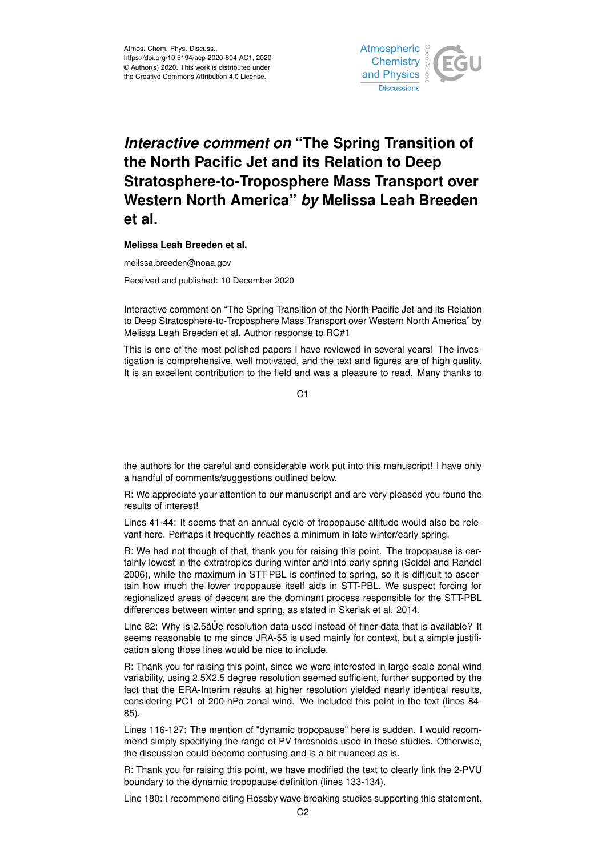

## *Interactive comment on* **"The Spring Transition of the North Pacific Jet and its Relation to Deep Stratosphere-to-Troposphere Mass Transport over Western North America"** *by* **Melissa Leah Breeden et al.**

**Melissa Leah Breeden et al.**

melissa.breeden@noaa.gov

Received and published: 10 December 2020

Interactive comment on "The Spring Transition of the North Pacific Jet and its Relation to Deep Stratosphere-to-Troposphere Mass Transport over Western North America" by Melissa Leah Breeden et al. Author response to RC#1

This is one of the most polished papers I have reviewed in several years! The investigation is comprehensive, well motivated, and the text and figures are of high quality. It is an excellent contribution to the field and was a pleasure to read. Many thanks to

 $C<sub>1</sub>$ 

the authors for the careful and considerable work put into this manuscript! I have only a handful of comments/suggestions outlined below.

R: We appreciate your attention to our manuscript and are very pleased you found the results of interest!

Lines 41-44: It seems that an annual cycle of tropopause altitude would also be relevant here. Perhaps it frequently reaches a minimum in late winter/early spring.

R: We had not though of that, thank you for raising this point. The tropopause is certainly lowest in the extratropics during winter and into early spring (Seidel and Randel 2006), while the maximum in STT-PBL is confined to spring, so it is difficult to ascertain how much the lower tropopause itself aids in STT-PBL. We suspect forcing for regionalized areas of descent are the dominant process responsible for the STT-PBL differences between winter and spring, as stated in Skerlak et al. 2014.

Line 82: Why is 2.5âUe resolution data used instead of finer data that is available? It seems reasonable to me since JRA-55 is used mainly for context, but a simple justification along those lines would be nice to include.

R: Thank you for raising this point, since we were interested in large-scale zonal wind variability, using 2.5X2.5 degree resolution seemed sufficient, further supported by the fact that the ERA-Interim results at higher resolution yielded nearly identical results, considering PC1 of 200-hPa zonal wind. We included this point in the text (lines 84- 85).

Lines 116-127: The mention of "dynamic tropopause" here is sudden. I would recommend simply specifying the range of PV thresholds used in these studies. Otherwise, the discussion could become confusing and is a bit nuanced as is.

R: Thank you for raising this point, we have modified the text to clearly link the 2-PVU boundary to the dynamic tropopause definition (lines 133-134).

Line 180: I recommend citing Rossby wave breaking studies supporting this statement.